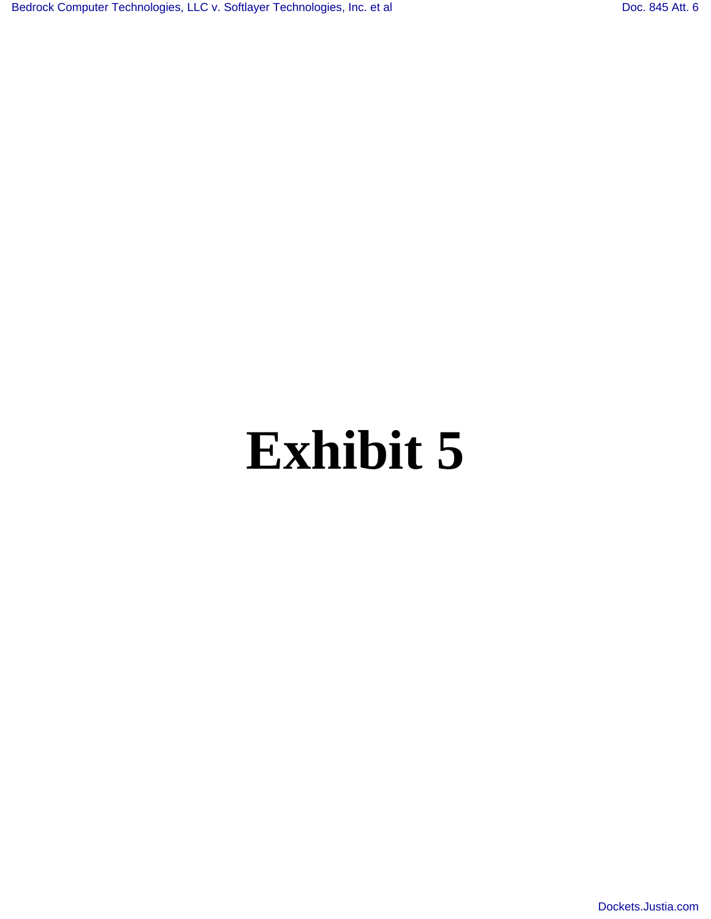# **Exhibit 5**

[Dockets.Justia.com](http://dockets.justia.com/)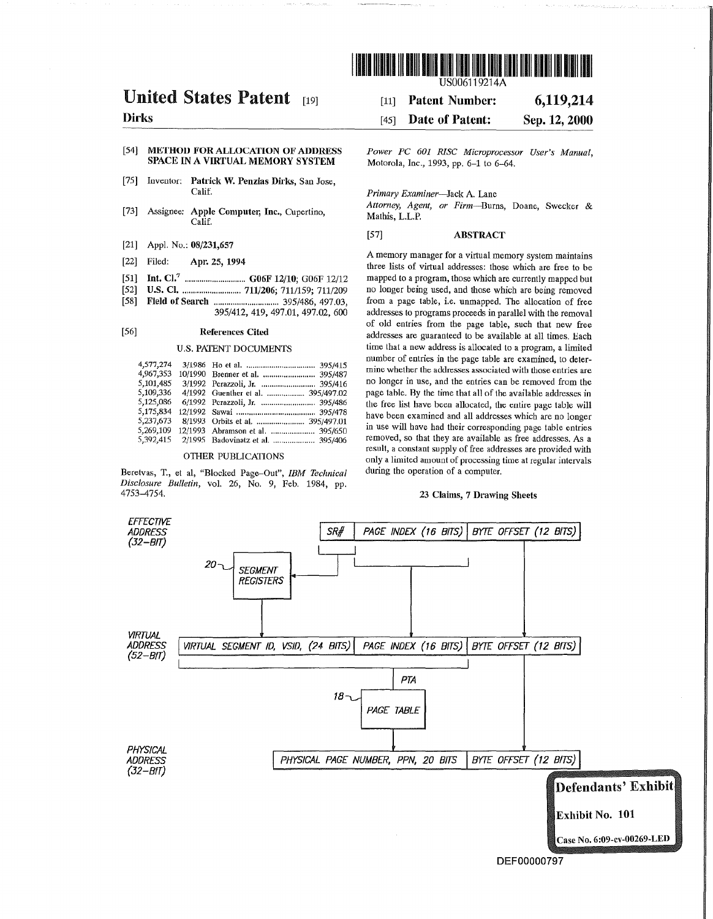

### United States Patent [19]

#### Dirks

#### [54] METHOD FOR ALLOCATION OF ADDRESS SPACE IN A VIRTUAL MEMORY SYSTEM

- [75] Inventor: Patrick W. Penzias Dirks, San Jose, Calif.
- [73] Assignee: Apple Computer, Inc., Cupertino, Calif.
- [21] Appl. No.: 08/231,657
- [22] Filed: Apr. 25, 1994
- [51] Int. CI? ............................. G06F 12/10; G06F 12/12
- [52] U.S. CI ............................. 711/206; 711/159; 711/209
- [58] Field of Search ............................... 395/486,497.03, 395/412,419,497.01,497.02,600

#### [56] References Cited

#### U.S. PATENT DOCUMENTS

| 4,577,274 |                                    |
|-----------|------------------------------------|
| 4,967,353 | 10/1990 Brenner et al.  395/487    |
| 5,101,485 | 3/1992 Perazzoli, Jr.  395/416     |
| 5,109,336 | 4/1992 Guenther et al.  395/497.02 |
| 5,125,086 | 6/1992 Perazzoli, Jr.  395/486     |
| 5,175,834 |                                    |
| 5,237,673 |                                    |
| 5,269,109 | 12/1993 Abramson et al.  395/650   |
| 5,392,415 | 2/1995 Badovinatz et al.  395/406  |

#### OTHER PUBLICATIONS

Beretvas, T., et ai, "Blocked Page-Out", *IBM Technical Disclosure Bulletin,* vol. 26, No.9, Feb. 1984, pp. 4753-4754.

[11] Patent Number: 6,119,214

#### [45] Date of Patent: Sep.12,2000

*POlVer PC 601 RISC Microprocessor User's Manual,*  Motorola, Inc., 1993, pp. 6-1 to 6-64.

*Primary Examiner-Jack* A. Lane

*Attorney, Agent, or Firm-Ilurns,* Doane, Swecker & Mathis, L.L.P.

#### [57] ABSTRACT

A mernory manager for a virtual memory system maintains three lists of virtual addresses: those which are free to be mapped to a program, those which are currently mapped but no longer being used, and those which are being removed from a page table, i.e. unmapped. The allocation of free addresses to programs proceeds in parallel with the removal of old entries from the page table, such that new free addresses are guaranteed to be available at all times. Each time that a new address is allocated to a program, a limited number of entries in the page table are examined, to determine whether the addresses associated with those entries are no longer in use, and the entries can be removed from the page tahle. By the time that all of the availahle addresses in the free list have been allocated, the entire page table will have been examined and all addresses which are no longer in use will have had their correspondiug page table entries removed, so that they are available as free addresses. As a result, a constant supply of free addresses are provided with only a limited amount of processing time at regular intervals during the operation of a computer.

#### 23 Claims, 7 Drawing Sheets

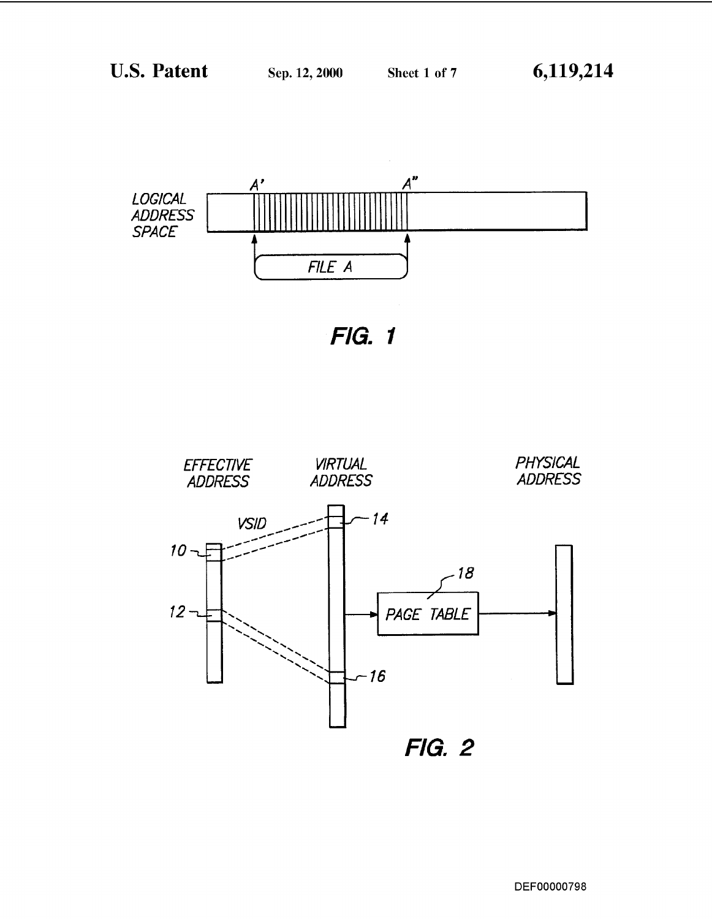

FIG. 1

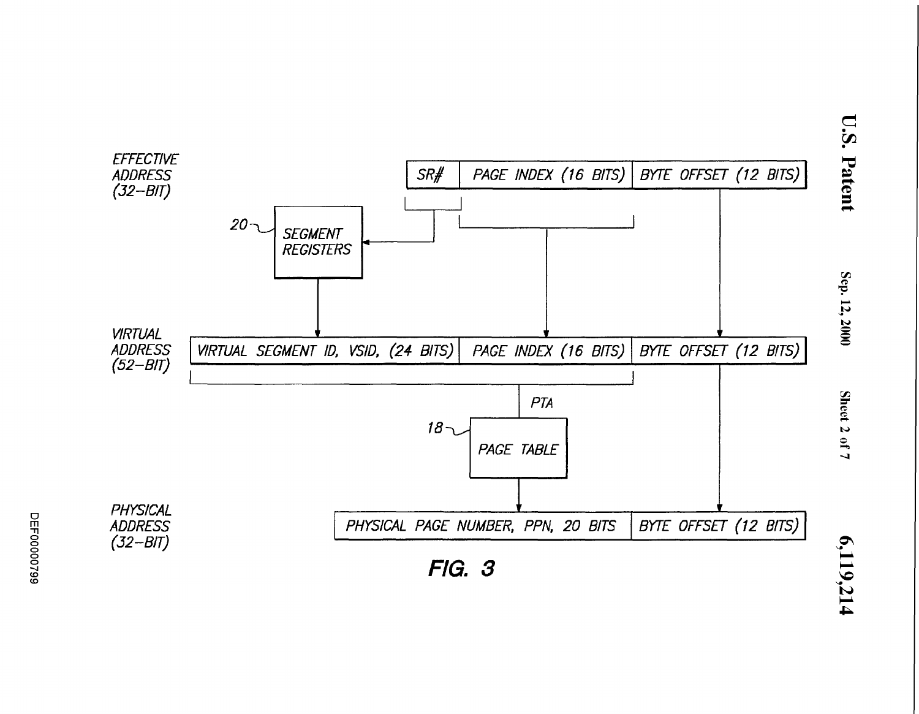

 $\overline{\phantom{a}}$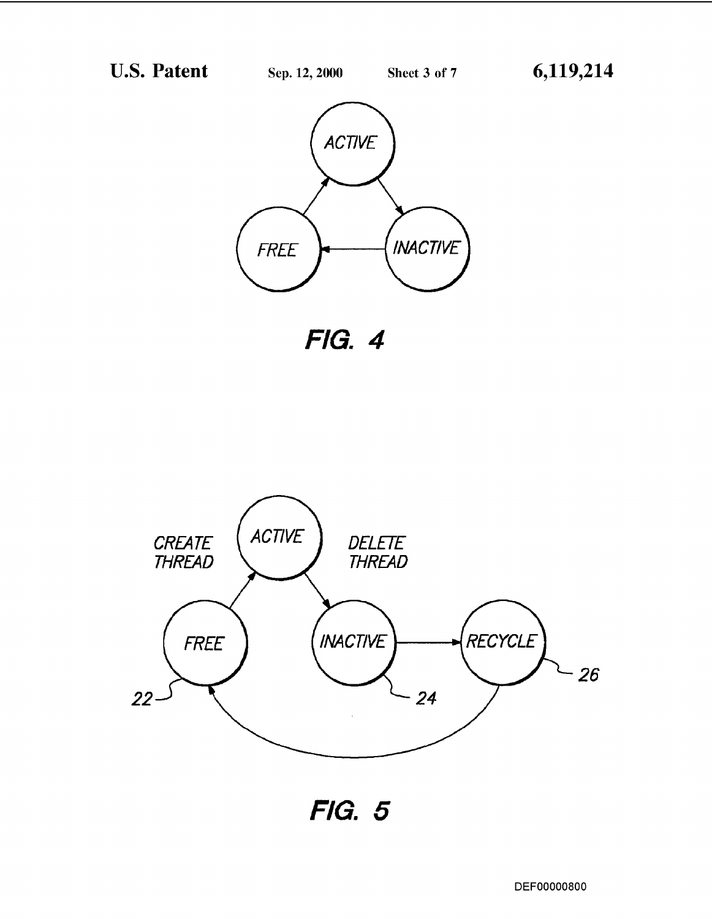U.S. Patent



FIG. 4



FIG. 5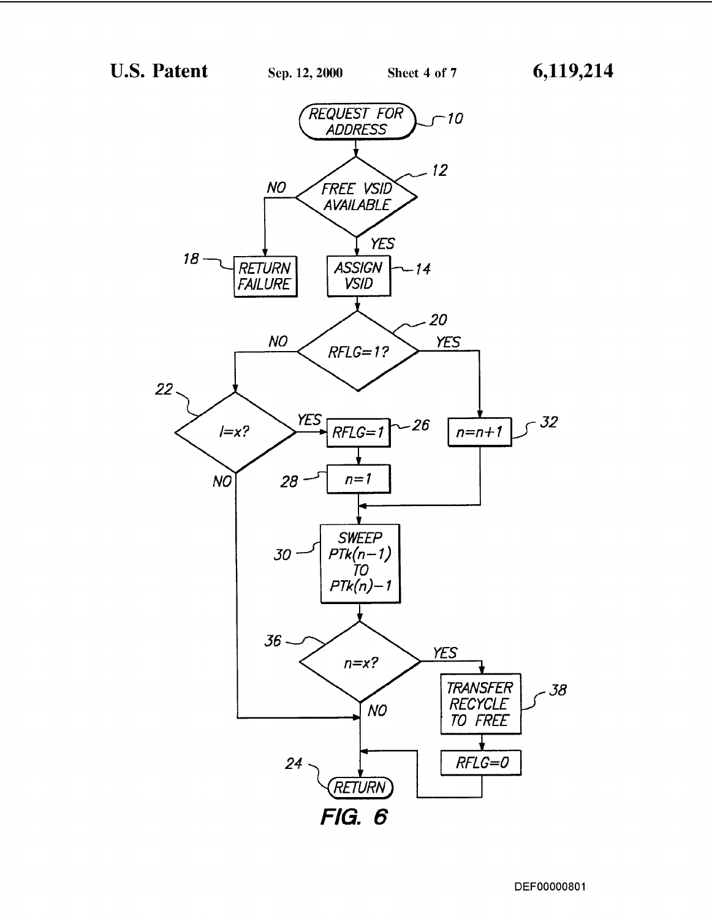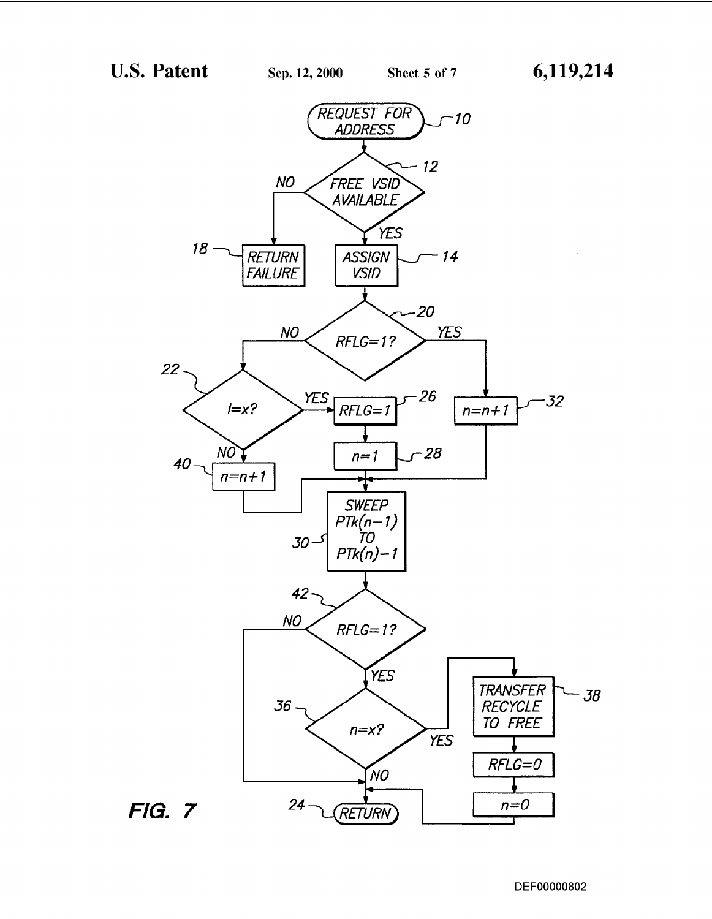

DEF00000802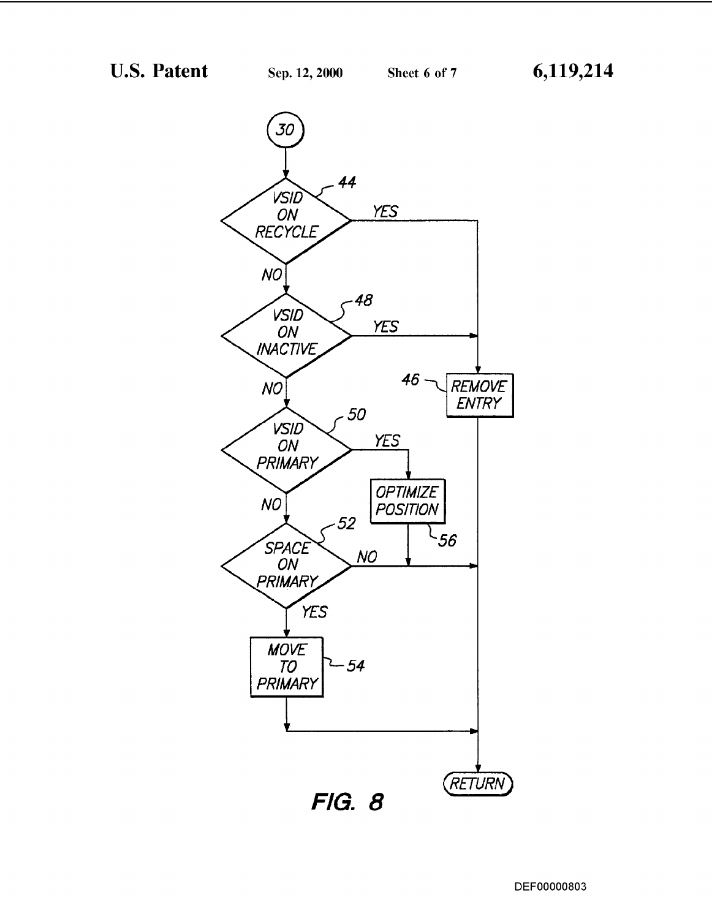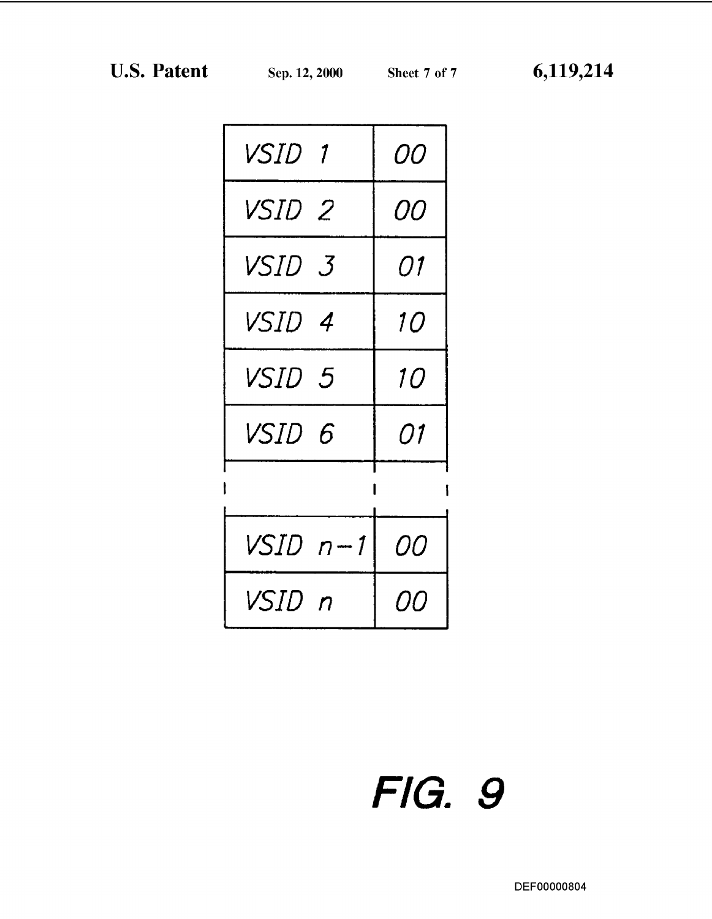| <i>VSID 1</i> | <i>00</i> |
|---------------|-----------|
| <i>VSID 2</i> | <i>00</i> |
| VSID 3        | 01        |
| <i>VSID 4</i> | <i>10</i> |
| VSID 5        | <i>10</i> |
| VSID 6        | 01        |
|               |           |
| VSID n-1      | <i>00</i> |
| VSID n        | [][]      |

## FIG. 9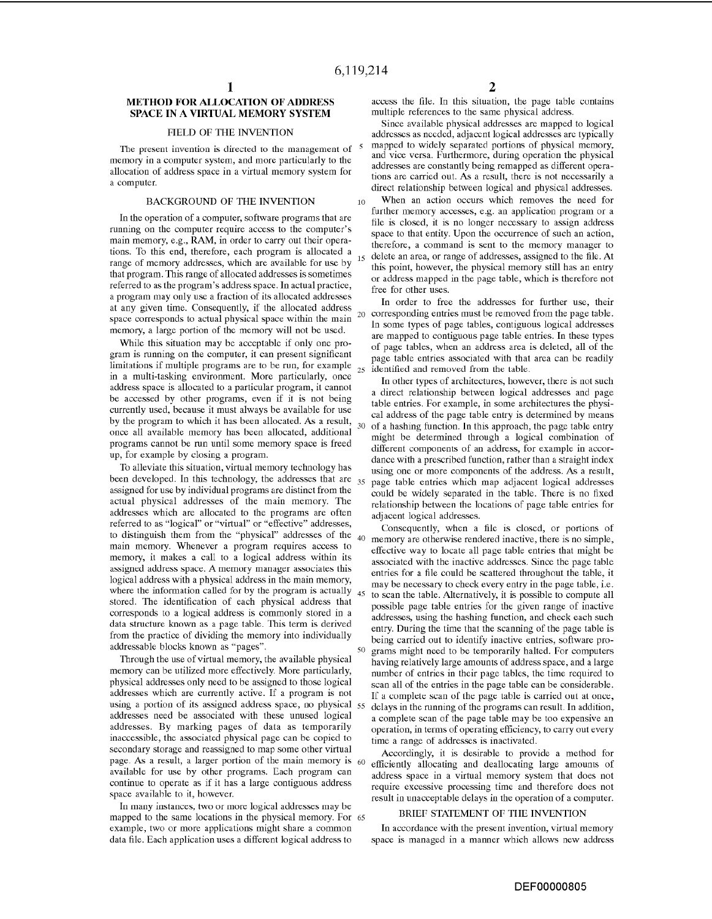#### METHOD FOR ALLOCATION OF ADDRESS SPACE IN A VIRTUAL MEMORY SYSTEM

#### FIELD OF THE INVENTION

The present invention is directed to the management of  $5$ memory in a computer system, and more particularly to the allocation of address space in a virtual memory system for

#### BACKGROUND OF THE INVENTION

In the operation of a computer, software programs that are running on the computer require access to the computer's main memory, e.g., RAM, in order to carry out their operations. To this end, therefore, each program is allocated a range of memory addresses, which are available for use by that program. This range of allocated addresses is sometimes referred to as the program's address space. In actual practice, a program may only use a fraction of its allocated addresses at any given time. Consequently, if the allocated address space corresponds to actual physical space within the main memory, a large portion of the memory will not be used.

While this situation may be acceptable if only one program is running on the computer, it can present significant limitations if multiple programs are to be run, for example in a multi-tasking environment. More particularly, once address space is allocated to a particular program, it cannot be accessed by other programs, even if it is not being currently used, because it must always be available for use by the program to which it has been allocated. As a result, once all available memory has been allocated, additional programs cannot be run until some memory space is freed up, for example by closing a program.

To alleviate this situation, virtual memory technology has been developed. In this technology, the addresses that are  $_{35}$ assigned for use by individual programs are distinct from the actual physical addresses of the main memory. The addresses which are allocated to the programs are often referred to as "logical" or "virtual" or "effective" addresses, to distinguish them from the "physical" addresses of the  $_{40}$ main memory. Whenever a program requires access to memory, it makes a call to a logical address within its assigned address space. A memory manager associates this logical address with a physical address in the main memory, where the information called for by the program is actually  $_{45}$ stored. The identification of each physical address that corresponds to a logical address is commonly stored in a data structure known as a page table. This term is derived from the practice of dividing the memory into individually addressable blocks known as "pages".

Through the use of virtual memory, the available physical memory can be utilized more effectively. More particularly, physical addresses only need to be assigned to those logical addresses which are currently active. If a program is not using a portion of its assigned address space, no physical  $55$ addresses need be associated with these unused logical addresses. By marking pages of data as temporarily inaccessible, the associated physical page can be copied to secondary storage and reassigned to map some other virtual page. As a result, a larger portion of the main memory is  $60$ available for use by other programs. Each program can continue to operate as if it has a large contiguous address space availahle to it, however.

In many instances, two or more logical addresses may be mapped to the same locations in the physical memory. For <sup>65</sup> example, two or more applications might share a common data file. Each application uses a different logical address to

 $\frac{2}{\sqrt{2}}$  access the file. In this situation, the page table contains multiple references to the same physical address.

Since available physical addresses are mapped to logical addrcsses as nceded, adjaccnt logical addrcsses arc typically mapped to widely separated portions of physical memory, and vice versa. Furthermore, during operation the physical addresses are constantly being remapped as different operations are carried out. As a result, there is not necessarily a a computer.<br>direct relationship between logical and physical addresses.

> 10 When an action occurs which removes the need for further memory accesses, e.g. an application program or a file is closed, it is no longer necessary to assign address space to that entity. Upon the occurrence of such an action, therefore, a command is sent to the memory manager to delete an area, or range of addresses, assigned to the file. At this point, however, the physical memory still has an entry or address mapped in the page table, which is therefore not free for other uses.

> In order to free the addresses for further use, their 20 corresponding entries must be removed from the page table. In some types of page tables, contiguous logical addresses are mapped to contiguous page table entries. In these types of page tables, when an address area is deleted, all of the page table entries associated with that area can be readily 25 identified and removed from the table.

> In other types of architectures, however, there is not such a direct relationship between logical addresses and page table entries. For example, in some architectures the physical address of the page table entry is determined by means 30 of a hashing function. In this approach, the page table entry might be determined through a logical combination of different components of an address, for example in accordance with a prescribed function, rather than a straight index using one or more components of the address. As a result, page table entries which map adjacent logical addresses could be widely separated in the table. There is no fixed relationship hetween the locations of page tahle entries for adjacent logical addresses.

Consequently, when a file is closed, or portions of memory are otherwise rendered inactive, there is no simple, effective way to locate all page table entries that might be associated with the inactive addresses. Since the page table entries for a file could he scattered throughout the tahle, it may be necessary to check every entry in the page table, i.e. to scan the table. Alternatively, it is possible to compute all possible page table entries for the given range of inactive addresses, using the hashing function, and check each such entry. During the time that the scanning of the page table is being carried out to identify inactive entries, software programs might need to be temporarily halted. For computers having relatively large amounts of address space, and a large number of entries in their page tables, the time required to scan all of the entries in the page table can be considerable. If a complete scan of the page table is carried out at once, delays in the running of the programs can result. In addition, a complete scan of the page table may be too expensive an operation, in terms of operating efficiency, to carry out every time a range of addresses is inactivated.

Accordingly, it is desirable to provide a method for efficiently allocating and deallocating large amounts of address space in a virtual memory system that does not require excessive processing time and therefore does not result in unacceptable delays in the operation of a computer.

#### DRlEr STATEMENT or TIlE INVENTION

In accordance with the present invention, virtual memory space is managed in a manner which allows new address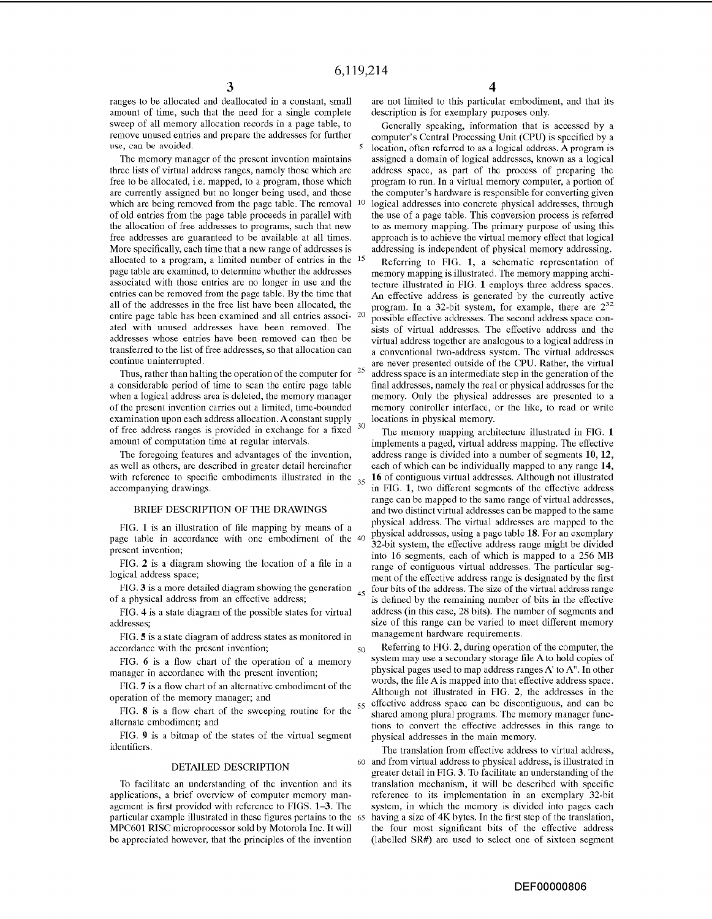ranges to be allocated and deallocated in a constant, small amount of time, such that the need for a single complete sweep of all memory allocation records in a page table, to remove unused entries and prepare the addresses for further use, can be avoided.

Thc memory manager of the present invention maintains three lists of virtual address ranges, namely those which are free to be allocated, i.e. mapped, to a program, those which are currently assigned but no longer being used, and those which are being removed from the page table. The removal of old entries from the page table proceeds in parallel with the allocation of free addresses to programs, such that new free addresses are guaranteed to be available at all times. More specifically, each time that a new range of addresses is allocated to a program, a limited number of entries in the 15 page table are examined, to determine whether the addresses associated with those entries are no longer in use and the entries can be removed from the page table. By the time that all of the addresses in the free list have been allocated, the entire page table has been examined and all entries associ- 20 ated with unused addresses have been removed. The addresses whose entries have been removed can then be transferred to the list of free addresses, so that allocation can continue uninterrupted.

Thus, rather than halting the operation of the computer for  $25$ a considerable period of time to scan the entire page table when a logical address area is deleted, the memory manager of the present invention carries out a limited, time-bounded examination upon each address allocation. A constant supply of free address ranges is provided in exchange for a fixed  $30$ amount of computation time at regular intervals.

The foregoing features and advantages of the invention, as well as others, are described in greater detail hereinafter with reference to specific embodiments illustrated in the  $_{35}$ accompanying drawings.

#### BRIEF DESCRIPTION OF THE DRAWINGS

page table in accordance with one embodiment of the <sup>40</sup> present invention;

FIG. 2 is a diagram showing the location of a file in a logical address space;

FIG. 3 is a more detailed diagram showing the generation  $_{45}$ of a physical address from an effective address;

FIG. 4 is a state diagram of the possible states for virtual addresses;

FIG. 5 is a state diagram of address states as monitored in accordance with the present invention;

FIG. 6 is a flow chart of the operation of a memory manager in accordance with the present invention;

PIG. 7 is a flow chart of an alternative embodiment of the operation of the memory manager; and

FIG. 8 is a flow chart of the sweeping routine for the alternate embodiment; and

FIG. 9 is a bitmap of the states of the virtual segment identifiers.

#### DETAILED DESCRIPTION

To facilitate an understanding of the invention and its applications, a brief overview of computer memory management is first provided with reference to FIGS. 1-3. The particular example illustrated in these figures pertains to the MPC601 RISC microprocessor sold by Motorola Inc. It will be appreciated however, that the principles of the invention

4<br>are not limited to this particular embodiment, and that its description is for exemplary purposes only.

Generally speaking, information that is accessed by a computer's Central Processing Unit (CPU) is specified by a location, often referred to as a logical address. A program is assigncd a domain of logical addresses, known as a logical address space, as part of the process of preparing the program to run. In a virtual memory computer, a portion of the computer's hardware is responsible for converting given 10 logical addresses into concrete physical addresses, through the use of a page table. This conversion process is referred to as memory mapping. The primary purpose of using this approach is to achieve the virtual memory effect that logical addressing is independent of physical memory addressing.

Referring to FIG. 1, a schematic representation of memory mapping is illustrated. The memory mapping architecture illustrated in FIG. 1 employs three address spaces. An effective address is generated by the currently active program. In a 32-bit system, for example, there are  $2^{32}$ possible effective addresses. The second address space consists of virtual addresses. The effective address and the virtual address together are analogous to a logical address in a conventional two-address system. The virtual addresses are never presented outside of the CPU. Rather, the virtual address space is an intermediate step in the generation of the final addresses, namely the real or physical addresses for the memory. Only the physical addresses are presented to a memory controller interface, or the like, to read or write locations in physical memory.

The memory mapping architecture illustrated in FIG. 1 implements a paged, virtual address mapping. The eflective address range is divided into a number of segments **10, 12,**  each of which can be individually mapped to any range **14,**  35 **16** of contiguous virtual addresses. Although not illustrated in FIG. **1,** two different segments of the effective address range can be mapped to the same range of virtual addresses, and two distinct virtual addresses can be mapped to the same FIG. 1 is an illustration of file mapping by means of a physical addresses. The virtual addresses are mapped to the position of the  $\mu_0$  physical addresses, using a page table 18. For an exemplary 32-bit system, the effective address range might be divided into 16 segments, each of which is mapped to a 256 MB range of contiguous virtual addresses. The particular segment of the effective address range is designated by the first four bits of the address. The size of the virtual address range is defined by the remaining number of bits in the effective address (in this case, 28 bits). The number of segments and size of this range can be varied to meet different memory management hardware requirements.

> 50 Referring to FIG. **2,** during operation of the computer, the system may use a secondary storage file A to hold copies of physical pages used to map address ranges A'to A". In other words, the file A is mapped into that effective address space. Although not illustrated in FIG. **2,** the addresses in the 55 effective address space can be discontiguous, and can be shared among plural programs. The memory manager functions to convert the effective addresses in this range to physical addresses in the main memory.

> The translation from effective address to virtual address, 60 and from virtual address to physical address, is illustrated in greater detail in FIG. 3. To facilitate an understanding of the translation mechanism, it will be described with specific reference to its implementation in an exemplary 32-bit system, in which the memory is divided into pages each having a size of 4K bytes. In the first step of the translation, the four most significant bits of the effective address (labelled SR#) are used to select one of sixteen segment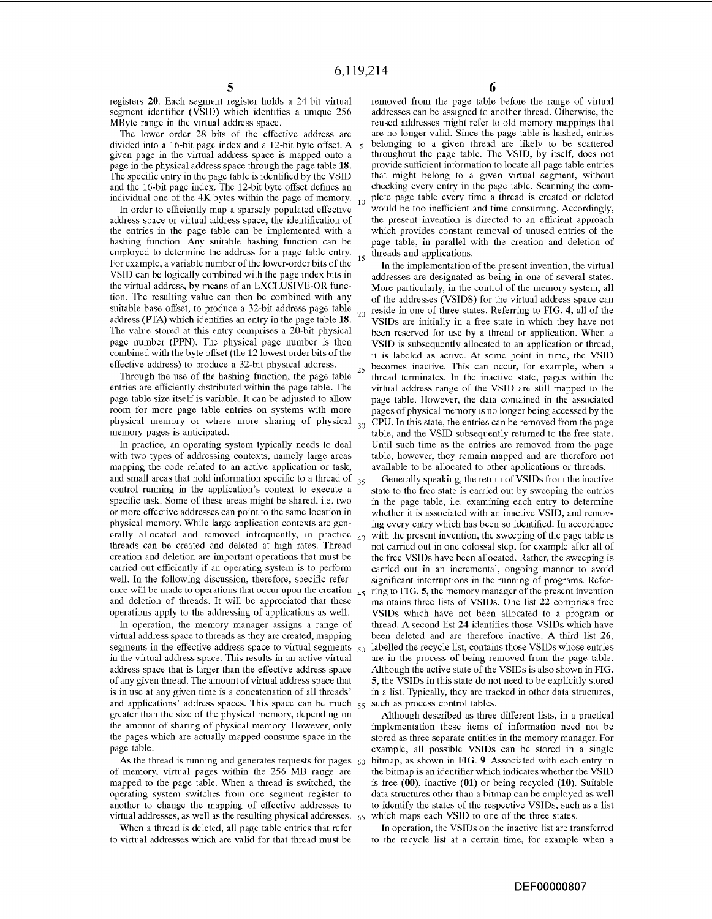registers 20. Each segment register holds a 24-bit virtual segment identifier (VSID) which identifies a unique 256 MRyte range in the virtual address space.

The lower order 28 bits of the effective address are divided into a 16-bit page index and a 12-bit byte offset. A given page in the virtual address space is mapped onto a page in the physical address space through the page table 18. The specific entry in the page table is identified by the VSID and the 16-bit page index. The 12-bit byte offset defines an individual one of the 4K bytes within the page of memory.  $_{10}$ 

In order to efficiently map a sparsely populated effective address space or virtual address space, the identification of the entries in the page table can be implemented with a hashing function. Any suitable hashing function can be employed to determine the address for a page table entry. For example, a variable number of the lower-order bits of the VSID can be logically combined with the page index bits in the virtual address, by means of an EXCLUSIVE-OR function. The resulting value can then be combined with any suitable base offset, to produce a 32-bit address page table  $_{20}$ address (PTA) which identifies an entry in the page table 18. The value stored at this entry comprises a 20-bit physical page number (PPN). The physical page number is then combined with the byte offset (the 12 lowest order bits of the effective address) to produce a 32-bit physical address.  $25$ 

Through the use of the hashing function, the page table entries are efficiently distributed within the page table. The page table size itself is variable. It can be adjusted to allow room for more page table entries on systems with more physical memory or where more sharing of physical  $30$ memory pages is anticipated.

In practice, an operating system typically needs to deal with two types of addressing contexts, namely large areas mapping the code related to an active application or task, and small areas that hold information specific to a thread of  $_{35}$ control running in the application's context to execute a specific task. Some of these areas might be shared, i.e. two or more effective addresses can point to the same location in physical memory. While large application contexts are generally allocated and removed infrequently, in practice  $_{40}$ threads can be created and deleted at high rates. Thread creation and deletion are important operations that must be carried out efficiently if an operating system is to perform well. In the following discussion, therefore, specific reference will be made to operations that occur upon the creation  $_{45}$ and deletion of threads. It will be appreciated that these operations apply to the addressing of applications as well.

In operation, the memory manager assigns a range of virtual address space to threads as they are created, mapping segments in the effective address space to virtual segments  $\zeta_0$ in the virtual address space. This results in an active virtual address space that is larger than the effective address space of any given thread. The amount of virtual address space that is in use at any given time is a concatenation of all threads' and applications' address spaces. This space can be much 55 greater than the size of the physical memory, depending on the amount of sharing of physical memory. However, only the pages which are actually mapped consume space in the page table.

As the thread is running and generates requests for pages  $60$ of memory, virtual pages within the 256 MD range are mapped to the page table. When a thread is switched, the operating system switches from one segment register to another to change the mapping of effective addresses to virtual addresses, as well as the resulting physical addresses.

When a thread is deleted, all page table entries that refer to virtual addresses which are valid for that thread must be

removed from the page table before the range of virtual addresses can be assigned to another thread. Otherwise, the reused addresses might refer to old memory mappings that are no longer valid. Since the page table is hashed, entries belonging 10 a given thread are likely to be scallered throughout the page table. The VSID, by itself, does not provide sufficient information to locate all page tahle entries that might belong to a given virtual segment, without checking every entry in the page table. Scanning the complete page table every time a thread is created or deleted would be too inefficient and time consuming. Accordingly, the present invention is directed to an efficient approach which provides constant removal of unused entries of the page table, in parallel with the creation and deletion of threads and applications.

In the implementation of the present invention, the virtual addresses are designated as being in one of several states. More particularly, in the control of the memory system, all of the addresses (VSIDS) for the virtual address space can reside in one of three states. Referring to FIG. **4,** all of the VSIDs are initially in a free state in which they have not been reserved for use by a thread or application. When a VSID is subsequently allocated to an application or thread, it is labeled as active. At some point in time, the VSID becomes inactive. This can occur, for example, when a thread terminates. In the inactive state, pages within the virtual address range of the VSID are still mapped to the page table. However, the data contained in the associated pages of physical memory is no longer being accessed by the CPU. In this state, the entries can be removed from the page table, and the VSID subsequently returned to the free state. Until such time as the entries are removed from the page table, however, they remain mapped and are therefore not available to be allocated to other applications or threads.

Generally speaking, the return of VSIDs from the inactive state to the free state is carried out by sweeping the entries in the page table, i.e. examining each entry to determine whether it is associated with an inactive VSID, and removing every entry which has been so identified. In accordance with the present invention, the sweeping of the page table is not carried out in one colossal step, for example after all of the free VSIDs have been allocated. Rather, the sweeping is carried out in an incremental, ongoing manner to avoid significant interruptions in the running of programs. Referring to FIG. **5,** the memory manager of the present invention maintains three lists of VSIDs. One list **22** comprises free VSIDs which have not been allocated to a program or thread. A second list **24** identifies those VSIDs which have been deleted and are therefore inactive. A third list **26,**  labelled the recycle list, contains those VSIDs whose entries are in the process of being removed from the page table. Although the active state of the VSIDs is also shown in FIG. **5,** the VSIDs in this state do not need to be explicitly stored in a list. Typically, they are tracked in other data structures, such as process control tables.

Although described as three different lists, in a practical implementation these items of information need not be stored as three separate entities in the memory manager. For example, all possible VSlDs can be stored in a single bitmap, as shown in FIG. 9. Associated with each entry in the bitmap is an identifier which indicates whether the VSID is free **(00),** inactive (01) or being recycled (10). Suitable data structures other than a hitmap can he employed as well to identify the states of the respective VSIDs, such as a list which maps each VSID to one of the three states.

In operation, the VSIDs on the inactive list are transferred to the recyele list at a certain time, for example when a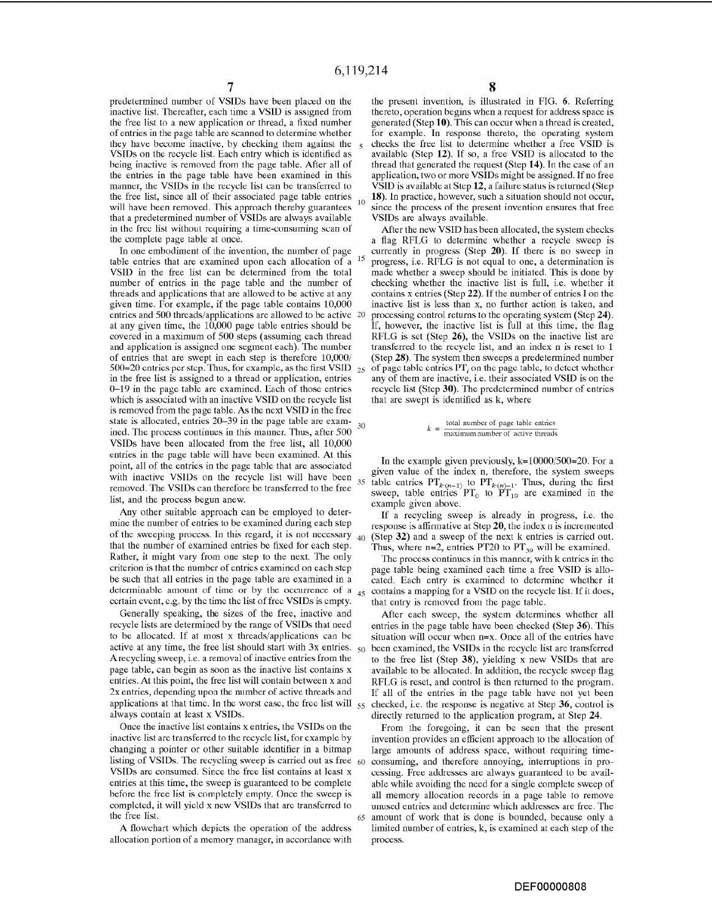predetermined number of VSIDs have been placed on the inactive list. Thereafter, each time a VSID is assigned from the free list to a new application or thread, a fixed numher of entries in the page table are scanned to determine whether they have become inactive, by checking them against the 5 VSIDs on the recycle list. Each entry which is identified as heing inactive is removed from the page tahle. After all of the entries in the page table have been examined in this manner, the VSIDs in the recycle list can be transferred to the free list, since all of their associated page table entries  $_{10}$ will have been removed. This approach thereby guarantees that a predetermined number of VSIDs are always available in the free list without requiring a time-consuming scan of the complete page table at once.

In one embodiment of the invention, the number of page table entries that are examined upon each allocation of a <sup>15</sup> VSID in the free list can be determined from the total number of entries in the page table and the number of threads and applications that are allowed to be active at any given time. Por example, if the page table contains 10,000 entries and 500 threads/applications are allowed to be active 20 at any given time, the  $10,000$  page table entries should be covered in a maximum of 500 steps (assuming each thread and application is assigned one segment each). The number of entries that are swept in each step is therefore  $10,000/$ 500=20 entries per step. Thus, for example, as the first VSID  $_{25}$ in the free list is assigned to a thread or application, entries 0-19 in the page table are examined. Each of those entries which is associated with an inactive VSID on the recycle list is removed from the page table. As the next VSID in the free state is allocated, entries  $20-39$  in the page table are exam-  $_{30}$ ined. The process continues in this manner. Thus, after 500 VSIDs have been allocated from the free list, all 10,000 entries in the page table will have been examined. At this point, all of the entries in the page table that are associated with inactive VSIDs on the recycle list will have been removed. The VSIDs can therefore be transferred to the free list, and the process begun anew.

Any other suitable approach can be employed to determine the number of entries to be examined during each step of the sweeping process. In this regard, it is not necessary that the number of examined entries be fixed for each step. Rather, it might vary from one step to the next. The only criterion is that the number of entries examined on each step be such that all entries in the page table are examined in a determinable amount of time or by the occurrence of a  $_{45}$ ccrtain cvcnt, c.g. by thc time the list of free VSIDs is empty.

Generally speaking, the sizes of the free, inactive and recycle lists are determined by the range of VSIDs that need to be allocated. If at most x threads/applications can be active at any time, the free list should start with  $3x$  entries.  $50$ A recycling sweep, i.e. a removal of inactive entries from the page table, can begin as soon as the inactive list contains x entries. At this point, the free list will contain between x and 2x entries, depending upon the number of active threads and applications at that time. In the worst ease, the free list will  $_{55}$ always contain at least x VSIDs.

Once the inactive list contains x entries, the VSIDs on the inactive list are transferred to the recycle list, for example by changing a pointer or other suitable identifier in a bitmap listing of VSIDs. The recycling sweep is carried out as free  $60$ VSIDs are consumed. Since the free list contains at least x entries at this time, the sweep is guaranteed to be complete hefore the free list is completely empty. Once the sweep is completed, it will yield x ncw VSIDs that are transferred to the free list.

A flowchart which depicts the operation of the address allocation portion of a memory manager, in accordance with

the present invention, is illustrated in FIG. 6. Referring thereto, operation begins when a request for address space is generated (Step 10). This can occur when a thread is created, for example. In response thereto, the operating system checks the free list to determine whether a free VSID is available (Step 12). If so, a free VSID is allocated to the thread that generated the request (Step 14). Tn the case of an application, two or more VSIDs might be assigned. If no free VSID is available at Step **12,** a failure status is returned (Step 18). In practice, however, such a situation should not occur, since the process of the present invention ensures that free VSIDs are always available.

After the new VSID has been allocated, the system checks a flag RFLG to determine whether a recycle sweep is currently in progress (Step 20). If there is no sweep in progress, i.e. RPLG is not equal to one, a determination is made whether a sweep should be initiated. This is done by checking whether the inactive list is full, i.e. whether it contains x entries (Step 22). If the number of entries I on the inactive list is less than x, no further action is taken, and processing control returns to the operating system (Step 24). If, however, the inactive list is full at this time, the flag RFLG is set (Step 26), the VSIDs on the inactive list are transferred to the recycle list, and an index n is reset to 1 (Step 28). The system then sweeps a predetermined number of page table entries  $PT<sub>i</sub>$  on the page table, to detect whether any of them are inactive, i.e. their associated VSID is on the recycle list (Step 30). The predetermined number of entries that are swept is identified as k, where

> <sup>k</sup>, total number of page table entries maximum number of active threads

In the example given previously,  $k=10000/500=20$ . For a given value of the index n, therefore, the system sweeps table entries  $PT_{k(n-1)}$  to  $PT_{k(n)-1}$ . Thus, during the first sweep, table entries  $PT_0$  to  $\overline{PT}_{19}$  are examined in the example given above.

If a recycling sweep is already in progress, i.e. the response is affirmative at Step **20,** the index n is incremented 40 (Step 32) and a sweep of the next k entries is carried out. Thus, where  $n=2$ , entries PT20 to PT<sub>39</sub> will be examined.

The process continucs in this manncr, with k entrics in thc page table being examined each time a free VSID is allocated. Each entry is examined to determine whether it contains a mapping for a VSID on the recycle list. If it does, that entry is removed from the page table.

After each sweep, the system determines whether all entries in the page table have been checked (Step 36). This situation will occur when  $n=x$ . Once all of the entries have been examined, the VSIDs in the recycle list are transferred to the free list (Step 38), yielding x new VSIDs that are available to be allocated. In addition, the recycle sweep flag RFLG is reset, and control is then returned to the program. If all of the entries in the page table have not yet been 55 checked, i.e. the response is negative at Step 36, control is directly returned to the application program, at Step 24.

From the foregoing, it can be seen that the present invention provides an efficient approach to the allocation of large amounts of address space, without requiring timeconsuming, and therefore annoying, interruptions in processing. Free addresses are always guaranteed to be available while avoiding the need for a single complete sweep of all memory allocation records in a page table to remove unused entries and determine which addresses are free. The amount of work that is done is bounded, because only a limited number of entries, k, is examined at each step of the process.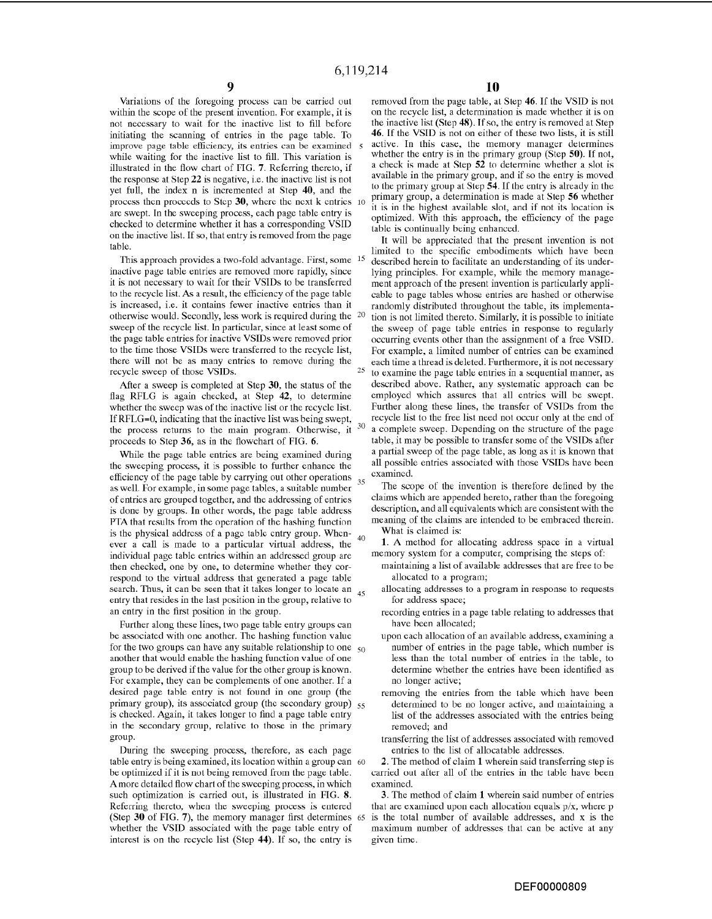Variations of the foregoing process can be carried out within the scope of the present invention. For example, it is not necessary to wait for the inactive list to fill before initiating the scanning of entries in the page table. To improve page table efficiency, its entries can be examined 5 while waiting for the inactive list to fill. This variation is illustrated in the flow chart of PIG. 7. Referring thereto, if the response at Step 22 is negative, i.e. the inactive list is not yet full, the index n is incremented at Step 40, and the proccss thcn procccds to Stcp 30, whcrc the next k cntries 10 are swept. In the sweeping process, each page table entry is checked to determine whether it has a corresponding VSID on the inactive list. If so, that entry is removed from the page table.

This approach provides a two-fold advantage. First, some inactive page table entries are removed more rapidly, since it is not necessary to wait for their VSIDs to be transferred to the recycle list. As a result, the efficiency of the page table is increased, i.e. it contains fewer inactive entries than it otherwise would. Secondly, less work is required during the sweep of the recycle list. In particular, since at least some of the page table entries for inactive VSIDs were removed prior to the time those VSIDs were transferred to the recycle list, there will not be as many entries to remove during the recycle sweep of those VSIDs.

After a sweep is completed at Step 30, the status of the flag RFLG is again checked, at Step 42, to determine whether the sweep was of the inactive list or the recycle list. If RFLG=O, indicating that the inactive list was being swept, the process returns to the main program. Otherwise, it proceeds to Step 36, as in the flowchart of FIG. 6.

While the page table entries are being examined during the sweeping process, it is possible to further enhance the efficiency of the page table by carrying out other operations  $35$ as welL For example, in some page tables, a suitable number of entries are grouped together, and the addressing of entries is done by groups. In other words, the page table address PTA that results from the operation of the hashing function is the physical address of a page table entry group. When- $_{40}$ ever a call is made to a particular virtual address, the individual page table entries within an addressed group are then checked, one by one, to determine whether they correspond to the virtual address that generated a page table search. Thus, it can be seen that it takes longer to locate an 45 entry that resides in the last position in the group, relative to an entry in the first position in the group.

Further along these lines, two page table entry groups can be associated with one another. The hashing function value for the two groups can have any suitable relationship to one  $50$ another that would enable the hashing function value of one group to be derived if the value for the other group is known. For example, they can be complements of one another. If a desired page table entry is not found in one group (the primary group), its associated group (the secondary group) 55 is checked. Again, it takes longer to find a page table entry in the secondary group, relative to those in the primary group.

During the sweeping process, therefore, as each page table entry is being examined, its location within a group can 60 be optimized if it is not being removed from the page table. A more detailed flow chart of the sweeping process, in which such optimization is carried out, is illustrated in FIG. 8. Referring thereto, when the sweeping process is entered (Step 30 of FIG. 7), the memory manager first determines <sup>65</sup> whether the VSID associated with the page table entry of interest is on the recycle list (Step 44). If so, the entry is

removed from the page table, at Step 46. If the VSID is not on the recycle list, a determination is made whether it is on the inactive list (Step 48). If so, the entry is removed at Step 46. If the VSID is not on either of these two lists, it is still active. In this case, the memory manager determines whether the entry is in the primary group (Step 50). If not, a check is made at Step 52 to determine whether a slot is available in the primary group, and if so the entry is moved to the primary group at Step 54. If the entry is already in the primary group, a determination is made at Step 56 whether it is in the highest availahle slot, and if not its location is optimized. With this approach, the efficiency of the page table is continually being enhanced.

It will be appreciated that the present invention is not limited to the specific embodiments which have been described herein to facilitate an understanding of its underlying principles. For example, while the memory management approach of the present invention is particularly applicable to page tables whose entries are hashed or otherwise randomly distributed throughout the table, its implementation is not limited thereto. Similarly, it is possible to initiate the sweep of page table entries in response to regularly occurring events other than the assignment of a free VSID. For example, a limited number of entries can be examined each time a thread is deleted. Furthermore, it is not necessary  $25$  to examine the page table entries in a sequential manner, as described above. Rather, any systematic approach can be employed which assures that all entries will be swept. Further along these lines, the transfer of VSIDs from the recycle list to the free list need not occur only at the end of <sup>30</sup> a complete sweep. Depending on the structure of the page table, it may be possible to transfer some of the VSIDs after a partial sweep of the page table, as long as it is known that cxamincd.

The scope of the invention is therefore defined by the claims which are appended hereto, rather than the foregoing description, and all equivalents which are consistent with the meaning of the claims are intended to be embraced therein. What is claimed is:

1. A method for allocating address space in a virtual memory system for a computer, comprising the steps of:

- maintaining a list of available addresses that are free to be allocated to a program;
- allocating addresses to a program in response to requests for address space;
- recording entries in a page table relating to addresses that have heen allocated;
- upon each allocation of an available address, examining a number of entries in the page table, which number is less than the total number of entries in the table, to determine whether the entries have been identified as no longer active;
- removing the entries from the table which have been determined to be no longer active, and maintaining a list of the addresses associated with the entries being removed; and
- transferring the list of addresses associated with removed entries to the list of allocatable addresses.

2. The method of claim 1 wherein said transferring step is carried out after all of the entries in the table have been examined.

3. The method of claim 1 wherein said number of entries that are examined upon each allocation equals *pix,* where p is the total number of available addresses, and x is the maximum number of addresses that can be active at any given time.